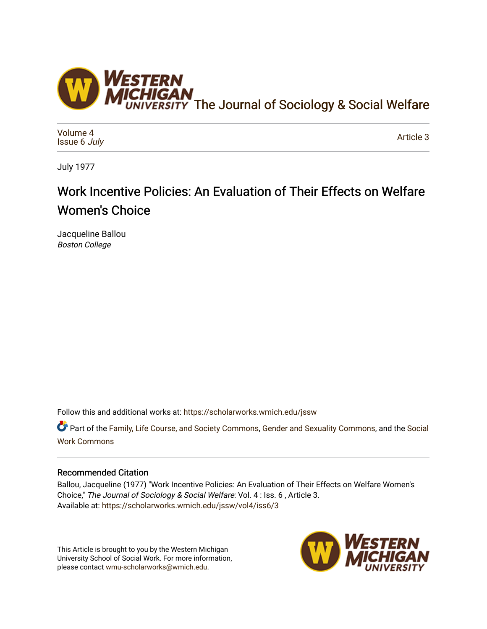

[Volume 4](https://scholarworks.wmich.edu/jssw/vol4) [Issue 6](https://scholarworks.wmich.edu/jssw/vol4/iss6) July

[Article 3](https://scholarworks.wmich.edu/jssw/vol4/iss6/3) 

July 1977

# Work Incentive Policies: An Evaluation of Their Effects on Welfare Women's Choice

Jacqueline Ballou Boston College

Follow this and additional works at: [https://scholarworks.wmich.edu/jssw](https://scholarworks.wmich.edu/jssw?utm_source=scholarworks.wmich.edu%2Fjssw%2Fvol4%2Fiss6%2F3&utm_medium=PDF&utm_campaign=PDFCoverPages) 

Part of the [Family, Life Course, and Society Commons,](http://network.bepress.com/hgg/discipline/419?utm_source=scholarworks.wmich.edu%2Fjssw%2Fvol4%2Fiss6%2F3&utm_medium=PDF&utm_campaign=PDFCoverPages) [Gender and Sexuality Commons](http://network.bepress.com/hgg/discipline/420?utm_source=scholarworks.wmich.edu%2Fjssw%2Fvol4%2Fiss6%2F3&utm_medium=PDF&utm_campaign=PDFCoverPages), and the [Social](http://network.bepress.com/hgg/discipline/713?utm_source=scholarworks.wmich.edu%2Fjssw%2Fvol4%2Fiss6%2F3&utm_medium=PDF&utm_campaign=PDFCoverPages) [Work Commons](http://network.bepress.com/hgg/discipline/713?utm_source=scholarworks.wmich.edu%2Fjssw%2Fvol4%2Fiss6%2F3&utm_medium=PDF&utm_campaign=PDFCoverPages)

## Recommended Citation

Ballou, Jacqueline (1977) "Work Incentive Policies: An Evaluation of Their Effects on Welfare Women's Choice," The Journal of Sociology & Social Welfare: Vol. 4 : Iss. 6 , Article 3. Available at: [https://scholarworks.wmich.edu/jssw/vol4/iss6/3](https://scholarworks.wmich.edu/jssw/vol4/iss6/3?utm_source=scholarworks.wmich.edu%2Fjssw%2Fvol4%2Fiss6%2F3&utm_medium=PDF&utm_campaign=PDFCoverPages) 

This Article is brought to you by the Western Michigan University School of Social Work. For more information, please contact [wmu-scholarworks@wmich.edu.](mailto:wmu-scholarworks@wmich.edu)

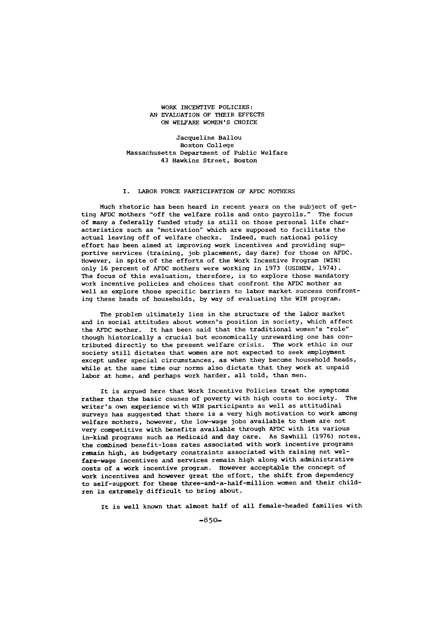#### WORK INCENTIVE POLICIES: AN EVALUATION OF THEIR EFFECTS ON WELFARE WOMEN'S CHOICE

Jacqueline Ballou Boston College Massachusetts Department of Public Welfare 43 Hawkins Street, Boston

### I. LABOR FORCE PARTICIPATION OF AFDC MOTHERS

Much rhetoric has been heard in recent years on the subject of getting AFDC mothers "off the welfare rolls and onto payrolls." The focus of many a federally funded study is still on those personal life characteristics such as "motivation" which are supposed to facilitate the actual leaving off of welfare checks. Indeed, much national policy effort has been aimed at improving work incentives and providing supportive services (training, job placement, day dare) for those on AFDC. However, in spite of the efforts of the Work Incentive Program (WIN) only 16 percent of AFDC mothers were working in 1973 (USDHEW, 1974). The focus of this evaluation, therefore, is to explore those mandatory work incentive policies and choices that confront the AFDC mother as well as explore those specific barriers to labor market success confronting these heads of households, by way of evaluating the WIN program.

The problem ultimately lies in the structure of the labor market and in social attitudes about women's position in society, which affect the AFDC mother. It has been said that the traditional women's "role" though historically a crucial but economically unrewarding one has contributed directly to the present welfare crisis. The work ethic in our society still dictates that women are not expected to seek employment except under special circumstances, as when they become household heads, while at the same time our norms also dictate that they work at unpaid labor at home, and perhaps work harder, all told, than men.

It is argued here that Work Incentive Policies treat the symptoms rather than the basic causes of poverty with high costs to society. The writer's own experience with WIN participants as well as attitudinal surveys has suggested that there is a very high motivation to work among welfare mothers, however, the low-wage jobs available to them are not very competitive with benefits available through AFDC with its various in-kind programs such as Medicaid and day care. As Sawhill (1976) notes, the combined benefit-loss rates associated with work incentive programs remain high, as budgetary constraints associated with raising net welfare-wage incentives and services remain high along with administrative costs of a work incentive program. However acceptable the concept of work incentives and however great the effort, the shift from dependency to self-support for these three-and-a-half-million women and their children is extremely difficult to bring about.

It is well known that almost half of all female-headed families with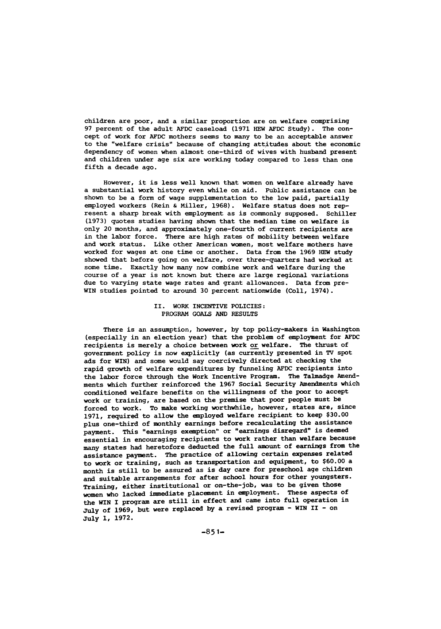children are poor, and a similar proportion are on welfare comprising **97** percent of the adult **AFDC** caseload **(1971 HEW AFDC** Study). The concept of work for **AFDC** mothers seems to many to be an acceptable answer to the "welfare crisis" because of changing attitudes about the economic dependency of women when almost one-third of wives with husband present and children under age six are working today compared to less than one fifth a decade ago.

However, it is less well known that women on welfare already have a substantial work history even while on aid. Public assistance can be shown to be a form of wage supplementation to the low paid, partially employed workers (Rein **&** Miller, **1968).** Welfare status does not represent a sharp break with employment as is commonly supposed. Schiller **(1973)** quotes studies having shown that the median time on welfare is only 20 months, and approximately one-fourth of current recipients are in the labor force. There are high rates of mobility between welfare and work status. Like other American women, most welfare mothers have worked for wages at one time or another. Data from the **1969** HEW study showed that before going on welfare, over three-quarters had worked at some time. Exactly how many now combine work and welfare during the course of a year is not known but there are large regional variations due to varying state wage rates and grant allowances. Data from pre-WIN studies pointed to around **30** percent nationwide (Coll, 1974).

#### II. WORK INCENTIVE POLICIES: PROGRAM **GOALS AND RESULTS**

There is an assumption, however, **by** top policy-makers in Washington (especially in an election year) that the problem of employment for **AFDC** recipients is merely a choice between work or welfare. The thrust of government policy is now explicitly (as currently presented in TV spot ads for WIN) and some would say coercively directed at checking the rapid growth of welfare expenditures **by** funneling **AFDC** recipients into the labor force through the Work Incentive Program. The Talmadge Amendments which further reinforced the **1967** Social Security Amendments which conditioned welfare benefits on the willingness **of** the poor to accept work or training, are based on the premise that poor people must be forced to work. To make working worthwhile, however, states are, since **1971,** required to allow the employed welfare recipient to keep **\$30.00** plus one-third of monthly earnings before recalculating the assistance payment. This "earnings exemption" or "earnings disregard" is deemed essential in encouraging recipients to work rather than welfare because many states had heretofore deducted the full amount of earnings from the assistance payment. The practice of allowing certain expenses related to work or training, such as transportation and equipment, to **\$60.00** <sup>a</sup> month is still to be assured as is day care for preschool age children and suitable arrangements for after school hours for other youngsters. Training, either institutional or on-the-job, was to be given those women who lacked immediate placement in employment. These aspects **of** the WIN **I** program are still in effect and came into full operation in July of **1969,** but were replaced **by** a revised program **- WIN II -** on July **1, 1972.**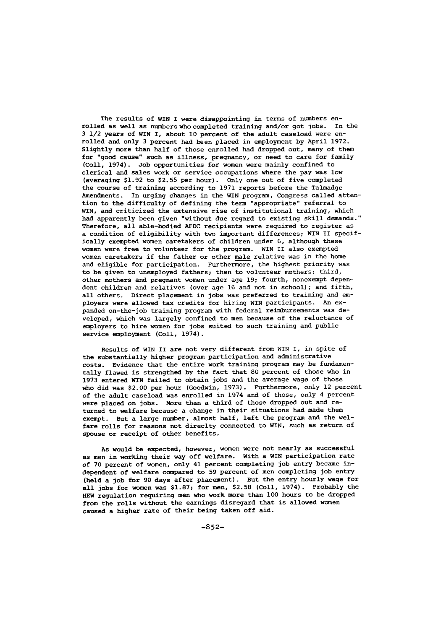The results **of** WIN I were disappointing in terms of numbers enrolled as well as numbers who completed training and/or got jobs. In the 3 1/2 years of WIN I, about **10** percent of the adult caseload were enrolled and only 3 percent had been placed in employment by April 1972. Slightly more than half of those enrolled had dropped out, many of them for "good cause" such as illness, pregnancy, or need to care for family (Coll, 1974). Job opportunities for women were mainly confined to clerical and sales work or service occupations where the pay was low (averaging \$1.92 to \$2.55 per hour). Only one out of five completed the course of training according to 1971 reports before the Talmadge Amendments. In urging changes in the WIN program, Congress called attention to the difficulty of defining the term "appropriate" referral to WIN, and criticized the extensive rise of institutional training, which had apparently been given "without due regard to existing skill demands." Therefore, all able-bodied AFDC recipients were required to register as a condition of eligibility with two important differences; WIN II specifically exempted women caretakers of children under 6, although these women were free to volunteer for the program. WIN II also exempted women caretakers if the father or other male relative was in the home and eligible for participation. Furthermore, the highest priority was to be given to unemployed fathers; then to volunteer mothers; third, other mothers and pregnant women under age 19; fourth, nonexempt dependent children and relatives (over age 16 and not in school); and fifth, all others. Direct placement in jobs was preferred to training and employers were allowed tax credits for hiring WIN participants. An expanded on-the-job training program with federal reimbursements was developed, which was largely confined to men because of the reluctance of employers to hire women for jobs suited to such training and public service employment (Coll, 1974).

Results of WIN II are not very different from WIN I, in spite of the substantially higher program participation and administrative costs. Evidence that the entire work training program may be fundamentally flawed is strengthed by the fact that 80 percent of those who in 1973 entered WIN failed to obtain jobs and the average wage of those who did was \$2.00 per hour (Goodwin, 1973). Furthermore, only 12 percent of the adult caseload was enrolled in 1974 and of those, only 4 percent were placed on jobs. More than a third of those dropped out and returned to welfare because a change in their situations had made them exempt. But a large number, almost half, left the program and the welfare rolls for reasons not direclty connected to WIN, such as return of spouse or receipt of other benefits.

As would be expected, however, women were not nearly as successful as men in working their way off welfare. With a WIN participation rate of 70 percent of women, only 41 percent completing job entry became independent of welfare compared to 59 percent of men completing job entry (held a job for 90 days after placement). But the entry hourly wage for all jobs for women was \$1.87; for men, \$2.58 (Coll, 1974). Probably the HEW regulation requiring men who work more than **100** hours to be dropped from the rolls without the earnings disregard that is allowed women caused a higher rate of their being taken off aid.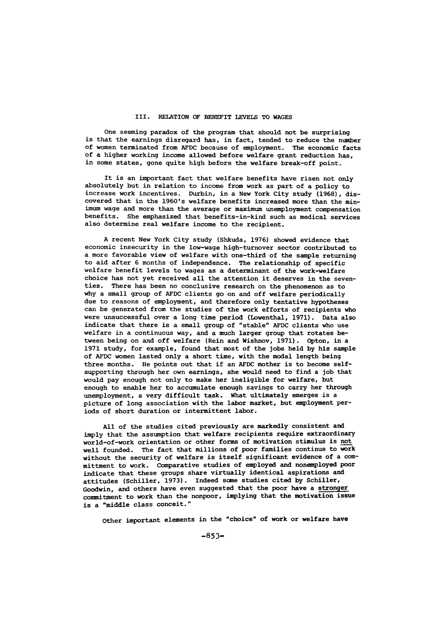#### III. RELATION OF BENEFIT LEVELS TO **WAGES**

One seeming paradox of the program that should not be surprising is that the earnings disregard has, in fact, tended to reduce the number of women terminated from AFDC because of employment. The economic facts of a higher working income allowed before welfare grant reduction has, in some states, gone quite high before the welfare break-off point.

It is an important fact that welfare benefits have risen not only absolutely but in relation to income from work as part of a policy to increase work incentives. Durbin, in a New York City study (1968), discovered that in the 1960's welfare benefits increased more than the minimum wage and more than the average or maximum unemployment compensation benefits. She emphasized that benefits-in-kind such as medical services also determine real welfare income to the recipient.

**A** recent New York City study (Shkuda, **1976)** showed evidence that economic insecurity in the low-wage high-turnover sector contributed to a more favorable view of welfare with one-third of the sample returning to aid after **6** months of independence. The relationship of specific welfare benefit levels to wages as a determinant of the work-welfare choice has not yet received all the attention it deserves in the seventies. There has been no conclusive research on the phenomenon as to why a small group of **AFDC** clients go on and off welfare periodically due to reasons of employment, and therefore only tentative hypotheses can be generated from the studies of the work efforts of recipients who were unsuccessful over a long time period (Lowenthal, **1971).** Data also indicate that there is a small group of "stable" **AFDC** clients who use welfare in a continuous way, and a much larger group that rotates between being on and off welfare (Rein and Wishnov, **1971).** Opton, in a **1971** study, for example, found that most of the jobs held **by** his sample of **AFDC** women lasted only a short time, with the modal length being three months. He points out that if an **AFDC** mother is to become selfsupporting through her own earnings, she would need to find a **job** that would pay enough not only to make her ineligible for welfare, but enough to enable her to accumulate enough savings to carry her through unemployment, a very difficult task. What ultimately emerges is a picture of long association with the labor market, but employment periods of short duration or intermittent labor.

**All** of the studies cited previously are markedly consistent and imply that the assumption that welfare recipients require extraordinary world-of-work orientation or other forms of motivation stimulus is not well founded. The fact that millions of poor families continue to work without the security of welfare is itself significant evidence of a committment to work. Comparative studies of employed and nonemployed poor indicate that these groups share virtually identical aspirations and attitudes (Schiller, 1973). Indeed some studies cited by Schiller, Goodwin, and others have even suggested that the poor have a stronger commitment to work than the nonpoor, implying that the motivation issue is a "middle class conceit."

Other important elements in the "choice" of work or welfare have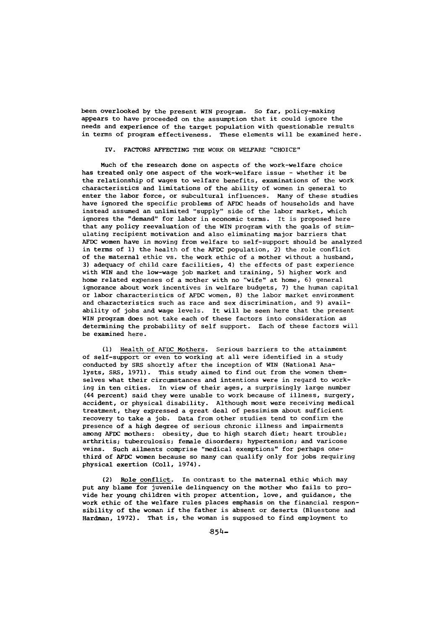been overlooked by the present WIN program. So far, policy-making appears to have proceeded on the assumption that it could ignore the needs and experience of the target population with questionable results in terms of program effectiveness. These elements will be examined here.

#### IV. FACTORS AFFECTING THE WORK OR WELFARE "CHOICE"

Much of the research done on aspects of the work-welfare choice has treated only one aspect of the work-welfare issue - whether it be the relationship of wages to welfare benefits, examinations of the work characteristics and limitations of the ability of women in general to enter the labor force, or subcultural influences. Many of these studies have ignored the specific problems of AFDC heads of households and have instead assumed an unlimited "supply" side of the labor market, which ignores the "demand" for labor in economic terms. It is proposed here that any policy reevaluation of the WIN program with the goals of stimulating recipient motivation and also eliminating major barriers that AFDC women have in moving from welfare to self-support should be analyzed in terms of **1)** the health of the AFDC population, 2) the role conflict of the maternal ethic vs. the work ethic of a mother without a husband, 3) adequacy of child care facilities, 4) the effects of past experience with WIN and the low-wage job market and training, 5) higher work and home related expenses of a mother with no "wife" at home, 6) general ignorance about work incentives in welfare budgets, 7) the human capital or labor characteristics of AFDC women, 8) the labor market environment and characteristics such as race and sex discrimination, and 9) availability of jobs and wage levels. It will be seen here that the present WIN program does not take each of these factors into consideration as determining the probability of self support. Each of these factors will be examined here.

**(1)** Health of **AFDC** Mothers. Serious barriers to the attainment of self-support or even to working at all were identified in a study conducted by SRS shortly after the inception of WIN (National Analysts, SRS, 1971). This study aimed to find out from the women themselves what their circumstances and intentions were in regard to working in ten cities. In view of their ages, a surprisingly large number (44 percent) said they were unable to work because of illness, surgery, accident, or physical disability. Although most were receiving medical treatment, they expressed a great deal of pessimism about sufficient recovery to take a job. Data from other studies tend to confirm the presence of a high degree of serious chronic illness and impairments among AFDC mothers: obesity, due to high starch diet; heart trouble; arthritis; tuberculosis; female disorders; hypertension; and varicose veins. Such ailments comprise "medical exemptions" for perhaps onethird of AFDC women because so many can qualify only for jobs requiring physical exertion (Coll, 1974).

(2) Role conflict. In contrast to the maternal ethic which may put any blame for juvenile delinquency on the mother who fails to provide her young children with proper attention, love, and guidance, the work ethic of the welfare rules places emphasis on the financial responsibility of the woman if the father is absent or deserts (Bluestone and Hardman, 1972). That is, the woman is supposed to find employment to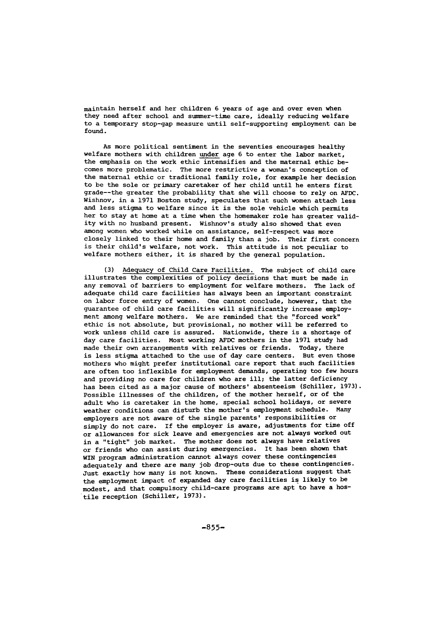maintain herself and her children 6 years of age and over even when they need after school and summer-time care, ideally reducing welfare to a temporary stop-gap measure until self-supporting employment can be found.

As more political sentiment in the seventies encourages healthy welfare mothers with children under age 6 to enter the labor market, the emphasis on the work ethic intensifies and the maternal ethic becomes more problematic. The more restrictive a woman's conception of the maternal ethic or traditional family role, for example her decision to be the sole or primary caretaker of her child until he enters first grade--the greater the probability that she will choose to rely on AFDC. Wishnov, in a 1971 Boston study, speculates that such women attach less and less stigma to welfare since it is the sole vehicle which permits her to stay at home at a time when the homemaker role has greater validity with no husband present. Wishnov's study also showed that even among women who worked while on assistance, self-respect was more closely linked to their home and family than a job. Their first concern is their child's welfare, not work. This attitude is not peculiar to welfare mothers either, it is shared by the general population.

(3) Adequacy of Child Care Facilities. The subject of child care illustrates the complexities of policy decisions that must be made in any removal of barriers to employment for welfare mothers. The lack of adequate child care facilities has always been an important constraint on labor force entry of women. One cannot conclude, however, that the guarantee of child care facilities will significantly increase employment among welfare mothers. We are reminded that the "forced work" ethic is not absolute, but provisional, no mother will be referred to work unless child care is assured. Nationwide, there is a shortage of day care facilities. Most working AFDC mothers in the 1971 study had made their own arrangements with relatives or friends. Today, there is less stigma attached to the use of day care centers. But even those mothers who might prefer institutional care report that such facilities are often too inflexible for employment demands, operating too few hours and providing no care for children who are ill; the latter deficiency has been cited as a major cause of mothers' absenteeism (Schiller, 1973). Possible illnesses of the children, of the mother herself, or of the adult who is caretaker in the home, special school holidays, or severe weather conditions can disturb the mother's employment schedule. Many employers are not aware of the single parents' responsibilities or simply do not care. If the employer is aware, adjustments for time off or allowances for sick leave and emergencies are not always worked out in a "tight" job market. The mother does not always have relatives or friends who can assist during emergencies. It has been shown that WIN program administration cannot always cover these contingencies adequately and there are many job drop-outs due to these contingencies. Just exactly how many is not known. These considerations suggest that the employment impact of expanded day care facilities is likely to be modest, and that compulsory child-care programs are apt to have a hostile reception (Schiller, 1973).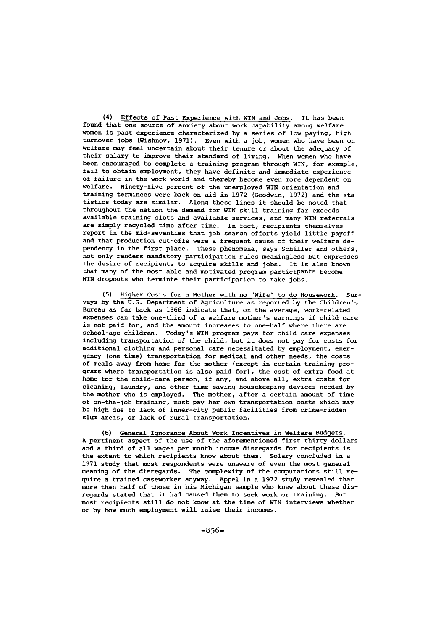(4) Effects of Past Experience with WIN and Jobs. It has been found that one source of anxiety about work capability among welfare women is past experience characterized **by** a series of low paying, high turnover jobs (Wishnov, 1971). Even with a **job,** women who have been on welfare may feel uncertain about their tenure or about the adequacy of their salary to improve their standard of living. When women who have been encouraged to complete a training program through WIN, for example, fail to obtain employment, they have definite and immediate experience of failure in the work world and thereby become even more dependent on welfare. Ninety-five percent of the unemployed WIN orientation and training terminees were back on aid in 1972 (Goodwin, 1972) and the statistics today are similar. Along these lines it should be noted that throughout the nation the demand for WIN skill training far exceeds available training slots and available services, and many WIN referrals are simply recycled time after time. In fact, recipients themselves report in the mid-seventies that job search efforts yield little payoff and that production cut-offs were a frequent cause of their welfare dependency in the first place. These phenomena, says Schiller and others, not only renders mandatory participation rules meaningless but expresses the desire of recipients to acquire skills and jobs. It is also known that many of the most able and motivated program participants become WIN dropouts who terminte their participation to take jobs.

(5) Higher Costs for a Mother with no "Wife" to do Housework. Surveys by the U.S. Department of Agriculture as reported by the Children's Bureau as far back as 1966 indicate that, on the average, work-related expenses can take one-third of a welfare mother's earnings if child care is not paid for, and the amount increases to one-half where there are school-age children. Today's WIN program pays for child care expenses including transportation of the child, but it does not pay for costs for additional clothing and personal care necessitated by employment, emergency (one time) transportation for medical and other needs, the costs of meals away from home for the mother (except in certain training programs where transportation is also paid for), the cost of extra food at home for the child-care person, if any, and above all, extra costs for cleaning, laundry, and other time-saving housekeeping devices needed by the mother who is employed. The mother, after a certain amount of time of on-the-job training, must pay her own transportation costs which may be high due to lack of inner-city public facilities from crime-ridden slum areas, or lack of rural transportation.

(6) General Ignorance About Work Incentives in Welfare Budgets. A pertinent aspect of the use of the aforementioned first thirty dollars and a third of all wages per month income disregards for recipients is the extent to which recipients know about them. Solary concluded in a 1971 study that most respondents were unaware of even the most general meaning of the disregards. The complexity of the computations still require a trained caseworker anyway. Appel in a 1972 study revealed that more than half of those in his Michigan sample who knew about these disregards stated that it had caused them to seek work or training. But most recipients still do not know at the time of WIN interviews whether or by how much employment will raise their incomes.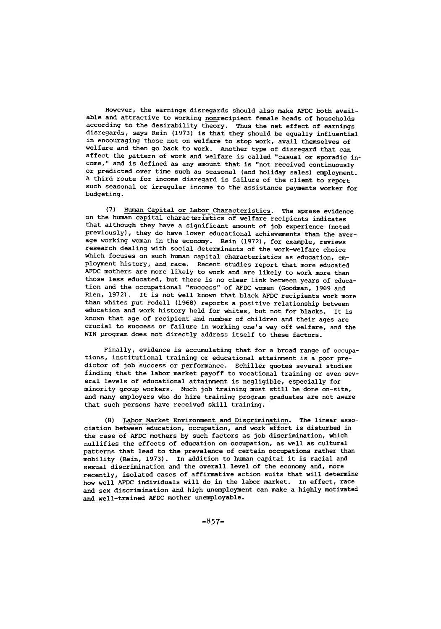However, the earnings disregards should also make AFDC both available and attractive to working nonrecipient female heads of households according to the desirability theory. Thus the net effect of earnings disregards, says Rein (1973) is that they should be equally influential in encouraging those not on welfare to stop work, avail themselves of welfare and then go back to work. Another type of disregard that can affect the pattern of work and welfare is called "casual or sporadic income," and is defined as any amount that is "not received continuously or predicted over time such as seasonal (and holiday sales) employment. A third route for income disregard is failure of the client to report such seasonal or irregular income to the assistance payments worker for budgeting.

(7) Human Capital or Labor Characteristics. The sprase evidence on the human capital characteristics of welfare recipients indicates that although they have a significant amount of job experience (noted previously), they do have lower educational achievements than the average working woman in the economy. Rein (1972), for example, reviews research dealing with social determinants of the work-welfare choice which focuses on such human capital characteristics as education, employment history, and race. Recent studies report that more educated AFDC mothers are more likely to work and are likely to work more than those less educated, but there is no clear link between years of education and the occupational "success" of AFDC women (Goodman, 1969 and Rien, 1972). It is not well known that black AFDC recipients work more than whites put Podell (1968) reports a positive relationship between education and work history held for whites, but not for blacks. It is known that age of recipient and number of children and their ages are crucial to success or failure in working one's way off welfare, and the WIN program does not directly address itself to these factors.

Finally, evidence is accumulating that for a broad range of occupations, institutional training or educational attainment is a poor predictor of job success or performance. Schiller quotes several studies finding that the labor market payoff to vocational training or even several levels of educational attainment is negligible, especially for minority group workers. Much job training must still be done on-site, and many employers who do hire training program graduates are not aware that such persons have received skill training.

(8) Labor Market Environment and Discrimination. The linear association between education, occupation, and work effort is disturbed in the case of AFDC mothers by such factors as job discrimination, which nullifies the effects of education on occupation, as well as cultural patterns that lead to the prevalence of certain occupations rather than mobility (Rein, 1973). In addition to human capital it is racial and sexual discrimination and the overall level of the economy and, more recently, isolated cases of affirmative action suits that will determine how well AFDC individuals will do in the labor market. In effect, race and sex discrimination and high unemployment can make a highly motivated and well-trained AFDC mother unemployable.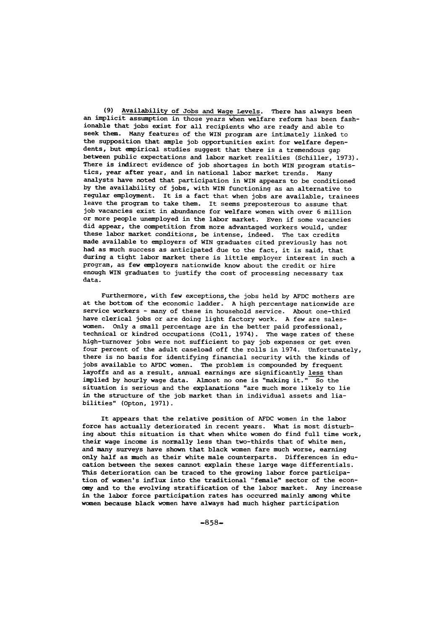(9) Availability of Jobs and Wage Levels. There has always been an implicit assumption in those years when welfare reform has been fashionable that jobs exist for all recipients who are ready and able to seek them. Many features of the WIN program are intimately linked to the supposition that ample job opportunities exist for welfare dependents, but empirical studies suggest that there is a tremendous gap between public expectations and labor market realities (Schiller, 1973). There is indirect evidence of job shortages in both WIN program statistics, year after year, and in national labor market trends. Many analysts have noted that participation in WIN appears to be conditioned by the availability of jobs, with WIN functioning as an alternative to regular employment. It is a fact that when jobs are available, trainees leave the program to take them. It seems preposterous to assume that job vacancies exist in abundance for welfare women with over 6 million or more people unemployed in the labor market. Even if some vacancies did appear, the competition from more advantaged workers would, under these labor market conditions, be intense, indeed. The tax credits made available to employers of WIN graduates cited previously has not had as much success as anticipated due to the fact, it is said, that during a tight labor market there is little employer interest in such a program, as few employers nationwide know about the credit or hire enough WIN graduates to justify the cost of processing necessary tax data.

Furthermore, with few exceptions, the jobs held by AFDC mothers are at the bottom of the economic ladder. A high percentage nationwide are service workers - many of these in household service. About one-third have clerical jobs or are doing light factory work. A few are saleswomen. Only a small percentage are in the better paid professional, technical or kindred occupations (Coll, 1974). The wage rates of these high-turnover jobs were not sufficient to pay job expenses or get even four percent of the adult caseload off the rolls in 1974. Unfortunately, there is no basis for identifying financial security with the kinds of jobs available to AFDC women. The problem is compounded by frequent layoffs and as a result, annual earnings are significantly less than implied by hourly wage data. Almost no one is "making it." So the situation is serious and the explanations "are much more likely to lie in the structure of the job market than in individual assets and liabilities" (Opton, 1971).

It appears that the relative position of AFDC women in the labor force has actually deteriorated in recent years. What is most disturbing about this situation is that when white women do find full time work, their wage income is normally less than two-thirds that of white men, and many surveys have shown that black women fare much worse, earning only half as much as their white male counterparts. Differences in education between the sexes cannot explain these large wage differentials. This deterioration can be traced to the growing labor force participation of women's influx into the traditional "female" sector of the econ**omy** and to the evolving stratification of the labor market. Any increase in the labor force participation rates has occurred mainly among white women because black women have always had much higher participation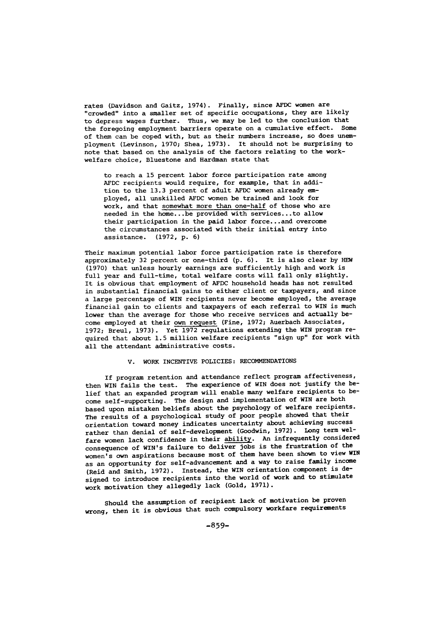rates (Davidson and Gaitz, 1974). Finally, since AFDC women are "crowded" into a smaller set of specific occupations, they are likely to depress wages further. Thus, we may be led to the conclusion that the foregoing employment barriers operate on a cumulative effect. Some of them can be coped with, but as their numbers increase, so does unemployment (Levinson, 1970; Shea, 1973). It should not be surprising to note that based on the analysis of the factors relating to the workwelfare choice, Bluestone and Hardman state that

to reach a 15 percent labor force participation rate among AFDC recipients would require, for example, that in addition to the 13.3 percent of adult AFDC women already employed, all unskilled AFDC women be trained and look for work, and that somewhat more than one-half of those who are needed in the home.. .be provided with services... to allow their participation in the paid labor force... and overcome the circumstances associated with their initial entry into assistance. (1972, p. 6)

Their maximum potential labor force participation rate is therefore approximately 32 percent or one-third (p. 6). It is also clear by HEW (1970) that unless hourly earnings are sufficiently high and work is full year and full-time, total welfare costs will fall only slightly. It is obvious that employment of AFDC household heads has not resulted in substantial financial gains to either client or taxpayers, and since a large percentage of WIN recipients never become employed, the average financial gain to clients and taxpayers of each referral to WIN is much lower than the average for those who receive services and actually become employed at their own request (Fine, 1972; Auerbach Associates, 1972; Breul, 1973). Yet 1972 regulations extending the WIN program required that about 1.5 million welfare recipients "sign up" for work with all the attendant administrative costs.

#### V. WORK INCENTIVE POLICIES: RECOMMENDATIONS

If program retention and attendance reflect program affectiveness, then WIN fails the test. The experience of WIN does not justify the belief that an expanded program will enable many welfare recipients to become self-supporting. The design and implementation of WIN are both based upon mistaken beliefs about the psychology of welfare recipients. The results of a psychological study of poor people showed that their orientation toward money indicates uncertainty about achieving success rather than denial of self-development (Goodwin, 1972). Long term welfare women lack confidence in their ability. An infrequently considered consequence of WIN's failure to deliver jobs is the frustration of the women's own aspirations because most of them have been shown to view WIN as an opportunity for self-advancement and a way to raise family income (Reid and Smith, 1972). Instead, the WIN orientation component is designed to introduce recipients into the world of work and to stimulate work motivation they allegedly lack (Gold, 1971).

Should the assumption of recipient lack of motivation be proven wrong, then it is obvious that such compulsory workfare requirements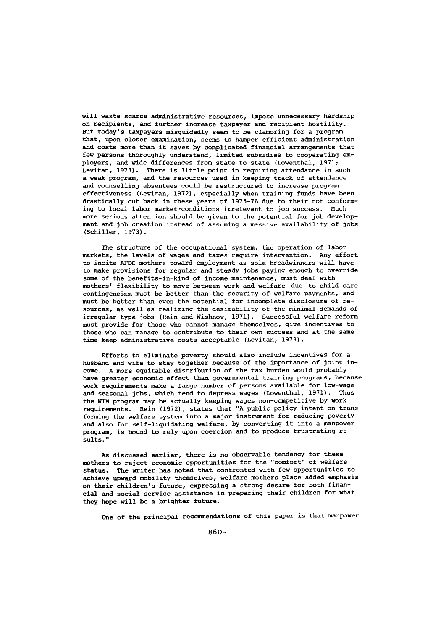will waste scarce administrative resources, impose unnecessary hardship on recipients, and further increase taxpayer and recipient hostility. But today's taxpayers misguidedly seem to be clamoring for a program that, upon closer examination, seems to hamper efficient administration and costs more than it saves by complicated financial arrangements that few persons thoroughly understand, limited subsidies to cooperating employers, and wide differences from state to state (Lowenthal, 1971; Levitan, 1973). There is little point in requiring attendance in such a weak program, and the resources used in keeping track of attendance and counselling absentees could be restructured to increase program effectiveness (Levitan, 1972), especially when training funds have been drastically cut back in these years of 1975-76 due to their not conforming to local labor market-conditions irrelevant to job success. Much more serious attention should be given to the potential for job development and job creation instead of assuming a massive availability of jobs (Schiller, 1973).

The structure of the occupational system, the operation of labor markets, the levels of wages and taxes require intervention. Any effort to incite AFDC mothers toward employment as sole breadwinners will have to make provisions for regular and steady jobs paying enough to override some of the benefits-in-kind of income maintenance, must deal with mothers' flexibility to move between work and welfare due to child care contingencies, must be better than the security of welfare payments, and must be better than even the potential for incomplete disclosure of resources, as well as realizing the desirability of the minimal demands of irregular type jobs (Rein and Wishnov, 1971). Successful welfare reform must provide for those who cannot manage themselves, give incentives to those who can manage to contribute to their own success and at the same time keep administrative costs acceptable (Levitan, 1973).

Efforts to eliminate poverty should also include incentives for a husband and wife to stay together because of the importance of joint income. A more equitable distribution of the tax burden would probably have greater economic effect than governmental training programs, because work requirements make a large number of persons available for low-wage and seasonal jobs, which tend to depress wages (Lowenthal, 1971). Thus the WIN program may be actually keeping wages non-competitive by work requirements. Rein (1972), states that "A public policy intent on transforming the welfare system into a major instrument for reducing poverty and also for self-liquidating welfare, by converting it into a manpower program, is bound to rely upon coercion and to produce frustrating results."

As discussed earlier, there is no observable tendency for these mothers to reject economic opportunities for the "comfort" of welfare status. The writer has noted that confronted with few opportunities to achieve upward mobility themselves, welfare mothers place added emphasis on their children's future, expressing a strong desire for both financial and social service assistance in preparing their children for what they hope will be a brighter future.

One of the principal recommendations of this paper is that manpower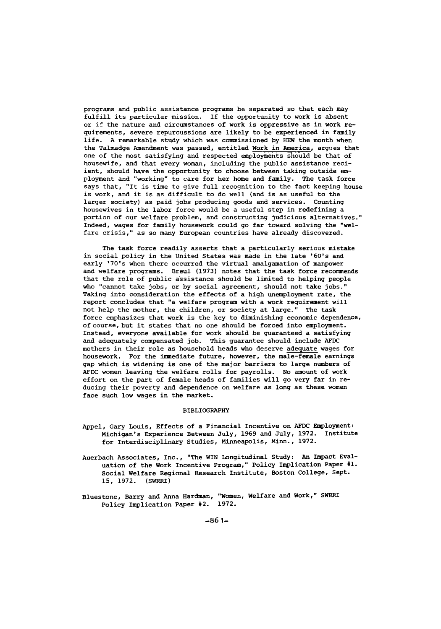programs and public assistance programs be separated so that each may fulfill its particular mission. If the opportunity to work is absent or if the nature and circumstances of work is oppressive as in work requirements, severe repurcussions are likely to be experienced in family life. A remarkable study which was commissioned by HEW the month when the Talmadge Amendment was passed, entitled Work in America, argues that one of the most satisfying and respected employments should be that of housewife, and that every woman, including the public assistance reciient, should have the opportunity to choose between taking outside employment and "working" to care for her home and family. The task force says that, "It is time to give full recognition to the fact keeping house is work, and it is as difficult to do well (and is as useful to the larger society) as paid jobs producing goods and services. Counting housewives in the labor force would be a useful step in redefining a portion of our welfare problem, and constructing judicious alternatives." Indeed, wages for family housework could go far toward solving the "welfare crisis," as so many European countries have already discovered.

The task force readily asserts that a particularly serious mistake in social policy in the United States was made in the late '60's and early '70's when there occurred the virtual amalgamation of manpower and welfare programs. Breul (1973) notes that the task force recommends that the role of public assistance should be limited to helping people who "cannot take jobs, or by social agreement, should not take jobs." Taking into consideration the effects of a high unemployment rate, the report concludes that "a welfare program with a work requirement will not help the mother, the children, or society at large." The task force emphasizes that work is the key to diminishing economic dependence, of course, but it states that no one should be forced into employment. Instead, everyone available for work should be guaranteed a satisfying and adequately compensated job. This guarantee should include **AFDC** mothers in their role as household heads who deserve adequate wages for housework. For the immediate future, however, the male-female earnings gap which is widening is one of the major barriers to large numbers of AFDC women leaving the welfare rolls for payrolls. No amount of work effort on the part of female heads of families will go very far in reducing their poverty and dependence on welfare as long as these women face such low wages in the market.

#### BIBLIOGRAPHY

- Appel, Gary Louis, Effects of a Financial Incentive on AFDC Employment: Michigan's Experience Between July, 1969 and July, 1972. Institute for Interdisciplinary Studies, Minneapolis, Minn., 1972.
- Auerbach Associates, Inc., "The WIN Longitudinal Study: An Impact Evaluation of the Work Incentive Program," Policy Implication Paper **#I.** Social Welfare Regional Research Institute, Boston College, Sept. 15, 1972. (SWRRI)
- Bluestone, Barry and Anna Hardman, "Women, Welfare and Work," SWRRI Policy Implication Paper #2. 1972.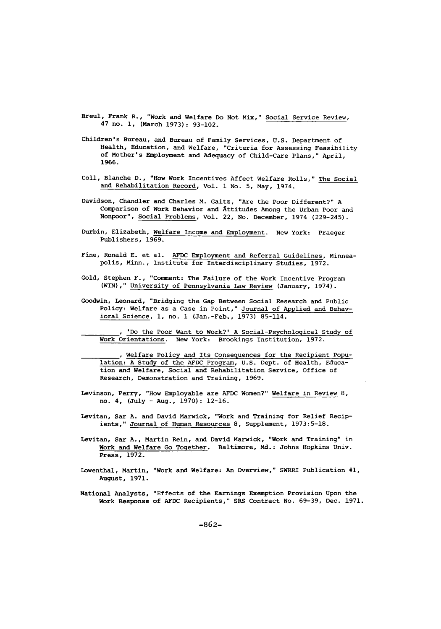Breul, Frank R., "Work and Welfare Do Not Mix," Social Service Review, 47 no. **1,** (March 1973): 93-102.

- Children's Bureau, and Bureau of Family Services, U.S. Department of Health, Education, and Welfare, "Criteria for Assessing Feasibility of Mother's Employment and Adequacy of Child-Care Plans," April, 1966.
- Coll, Blanche D., "How Work Incentives Affect Welfare Rolls," The Social and Rehabilitation Record, Vol. 1 No. 5, May, 1974.
- Davidson, Chandler and Charles M. Gaitz, "Are the Poor Different?" A Comparison of Work Behavior and Attitudes Among the Urban Poor and Nonpoor", Social Problems, Vol. 22, No. December, 1974 (229-245).
- Durbin, Elizabeth, Welfare Income and Employment. New York: Praeger Publishers, 1969.
- Fine, Ronald E. et al. AFDC Employment and Referral Guidelines, Minneapolis, Minn., Institute for Interdisciplinary Studies, 1972.
- Gold, Stephen F., "Comment: The Failure of the Work Incentive Program (WIN)," University of Pennsylvania Law Review (January, 1974).
- Goodwin, Leonard, "Bridging the Gap Between Social Research and Public Policy: Welfare as a Case in Point," Journal of Applied and Behavioral Science, **1,** no. 1 (Jan.-Feb., 1973) 85-114.

'Do the Poor Want to Work?' A Social-Psychological Study of Work Orientations. New York: Brookings Institution, 1972.

**,** Welfare Policy and Its Consequences for the Recipient Population: A Study of the AFDC Program, U.S. Dept. of Health, Education and Welfare, Social and Rehabilitation Service, Office of Research, Demonstration and Training, 1969.

- Levinson, Perry, "How Employable are AFDC Women?" Welfare in Review 8, no. 4, (July - Aug., 1970): 12-16.
- Levitan, Sar A. and David Marwick, "Work and Training for Relief Recipients," Journal of Human Resources 8, Supplement, 1973:5-18.
- Levitan, Sar A., Martin Rein, and David Marwick, "Work and Training" in Work and Welfare Go Together. Baltimore, Md.: Johns Hopkins Univ. Press, 1972.
- Lowenthal, Martin, "Work and Welfare: An Overview," SWRRI Publication **#1,** August, 1971.
- National Analysts, "Effects of the Earnings Exemption Provision Upon the Work Response of AFDC Recipients," SRS Contract No. 69-39, Dec. 1971.